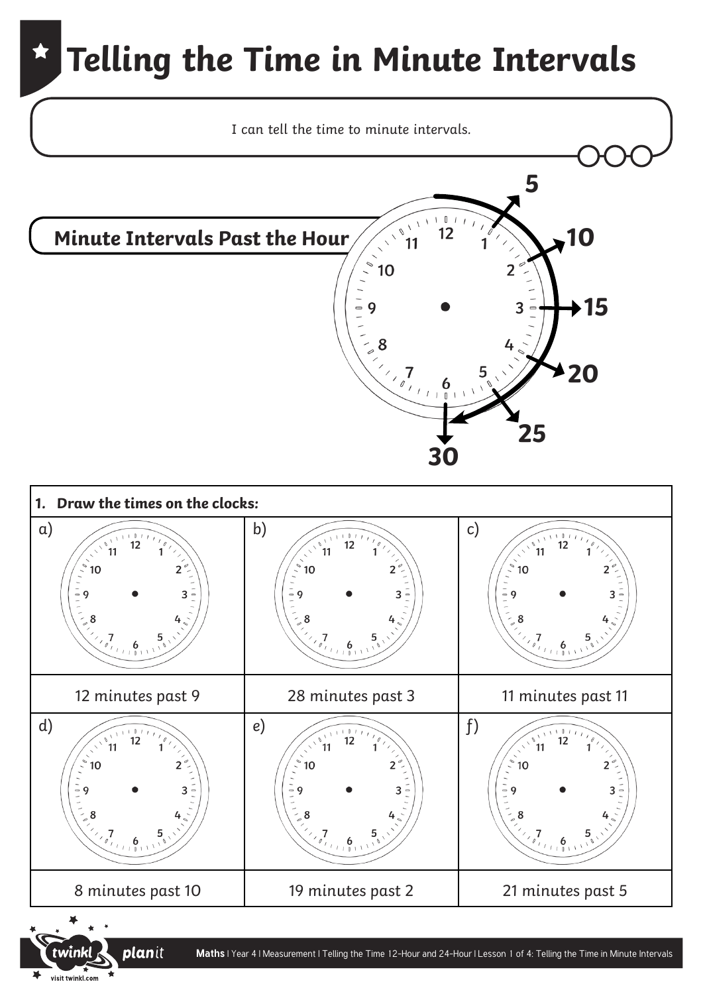

**Maths** | Year 4 | Measurement | Telling the Time 12-Hour and 24-Hour | Lesson 1 of 4: Telling the Time in Minute Intervals

planit

visit twinkl.com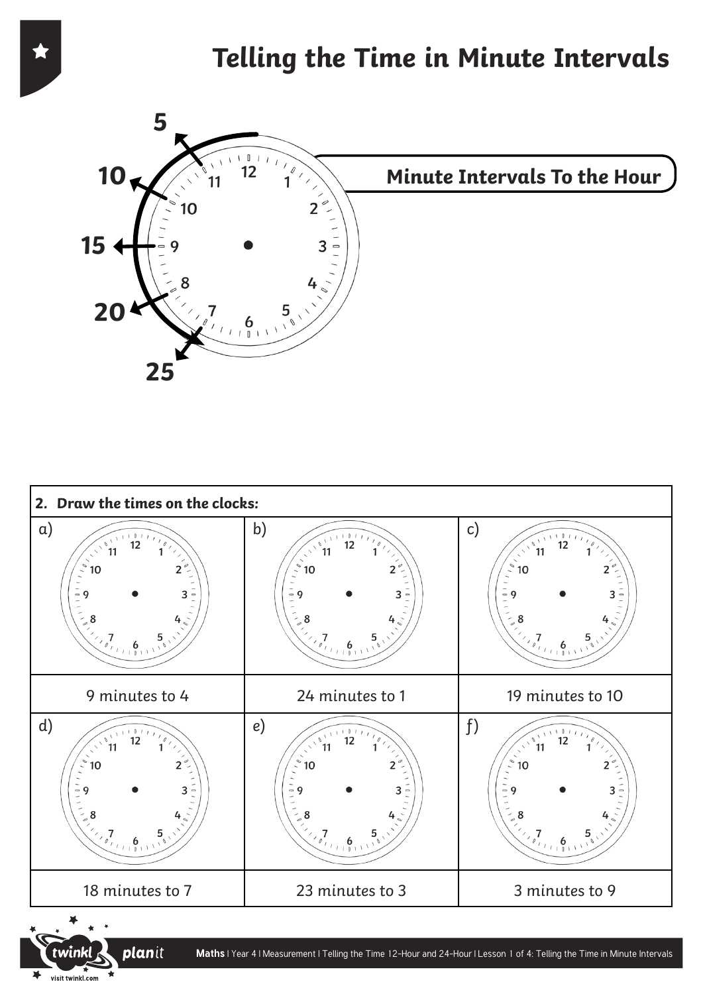



visit twinkl.com

 $\blacktriangleright$ 

₹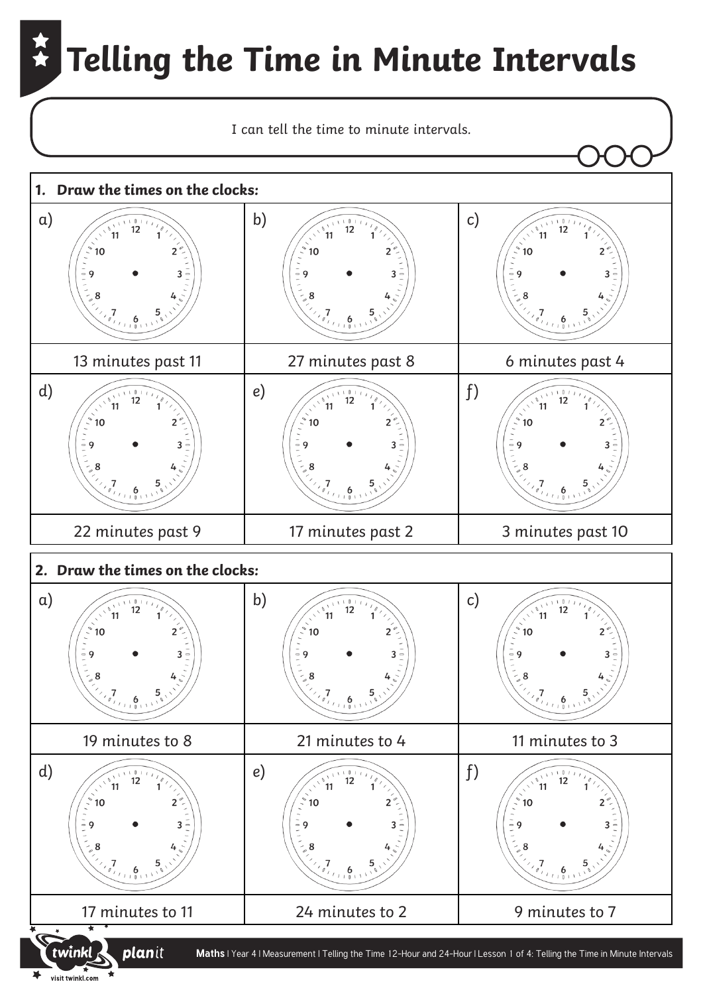

visit twinkl.com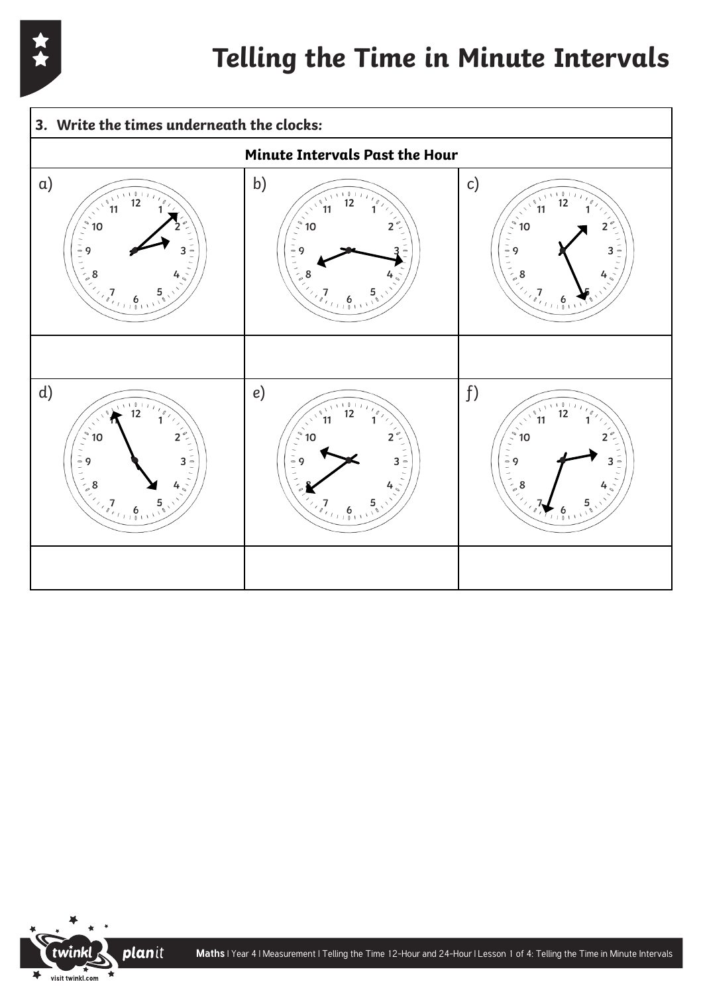



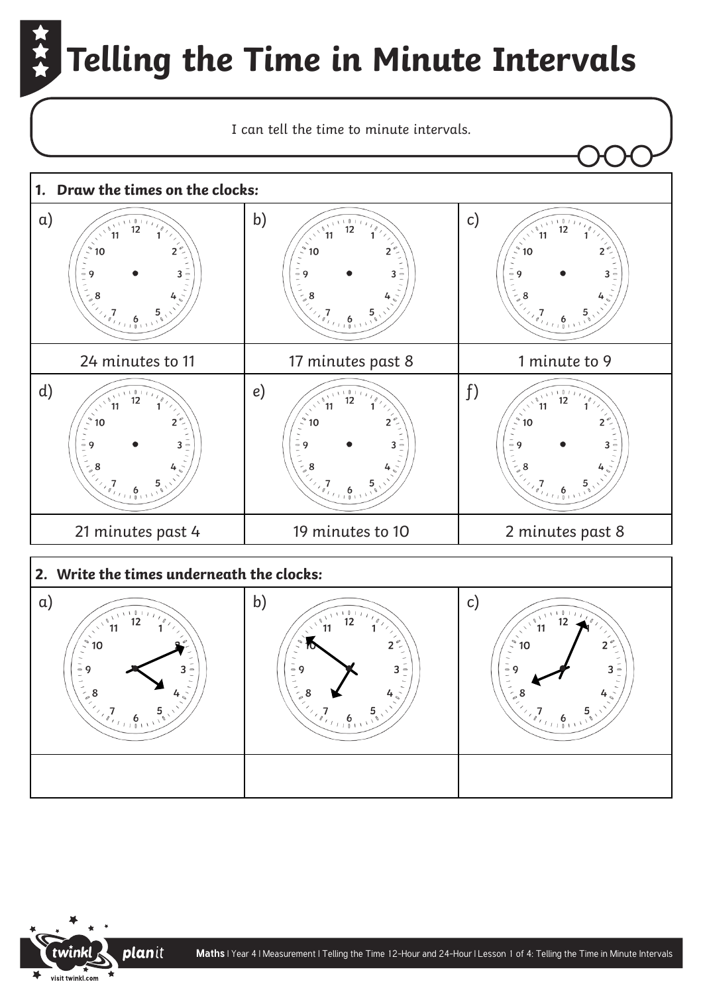

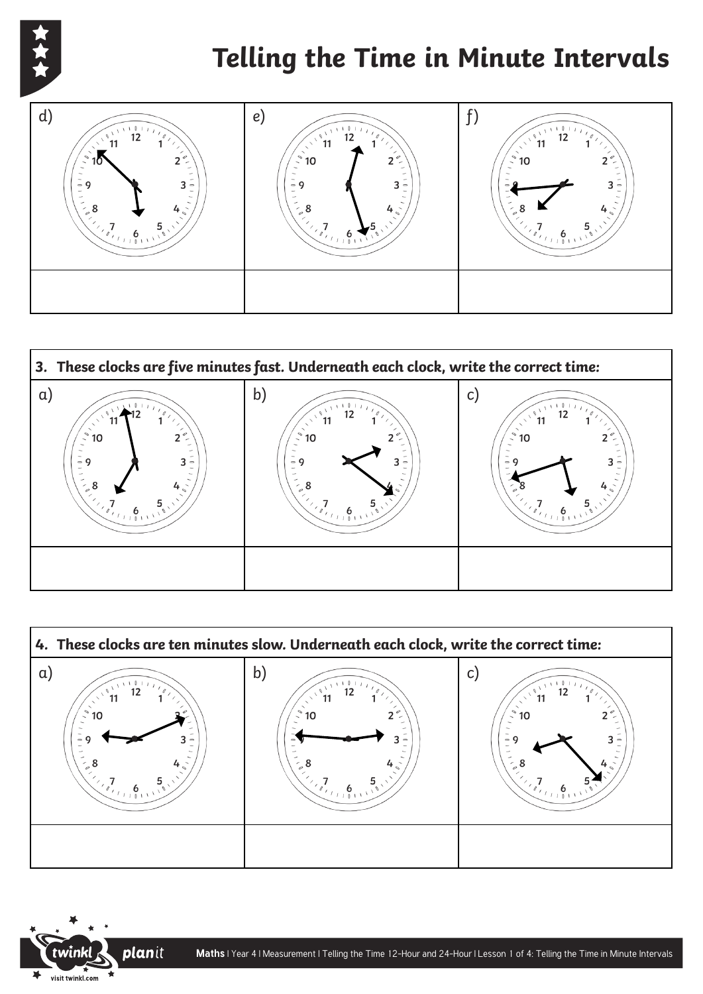